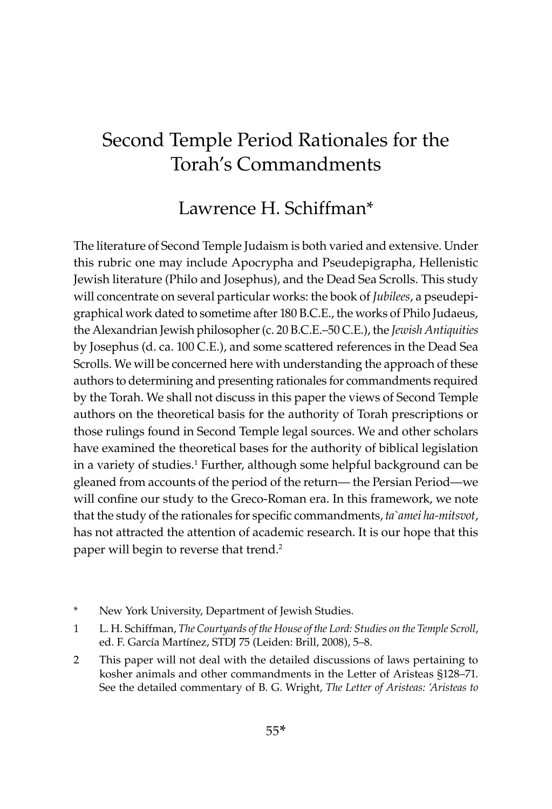# Second Temple Period Rationales for the Torah's Commandments

# Lawrence H. Schiffman\*

The literature of Second Temple Judaism is both varied and extensive. Under this rubric one may include Apocrypha and Pseudepigrapha, Hellenistic Jewish literature (Philo and Josephus), and the Dead Sea Scrolls. This study will concentrate on several particular works: the book of *Jubilees*, a pseudepigraphical work dated to sometime after 180 B.C.E., the works of Philo Judaeus, the Alexandrian Jewish philosopher (c. 20 B.C.E.–50 C.E.), the *Jewish Antiquities* by Josephus (d. ca. 100 C.E.), and some scattered references in the Dead Sea Scrolls. We will be concerned here with understanding the approach of these authors to determining and presenting rationales for commandments required by the Torah. We shall not discuss in this paper the views of Second Temple authors on the theoretical basis for the authority of Torah prescriptions or those rulings found in Second Temple legal sources. We and other scholars have examined the theoretical bases for the authority of biblical legislation in a variety of studies.<sup>1</sup> Further, although some helpful background can be gleaned from accounts of the period of the return— the Persian Period—we will confine our study to the Greco-Roman era. In this framework, we note that the study of the rationales for specific commandments, *ta`amei ha-mitsvot*, has not attracted the attention of academic research. It is our hope that this paper will begin to reverse that trend.<sup>2</sup>

- New York University, Department of Jewish Studies.
- 1 L. H. Schiffman, *The Courtyards of the House of the Lord: Studies on the Temple Scroll*, ed. F. García Martínez, STDJ 75 (Leiden: Brill, 2008), 5-8.
- 2 This paper will not deal with the detailed discussions of laws pertaining to kosher animals and other commandments in the Letter of Aristeas §128–71. See the detailed commentary of B. G. Wright, *The Letter of Aristeas: 'Aristeas to*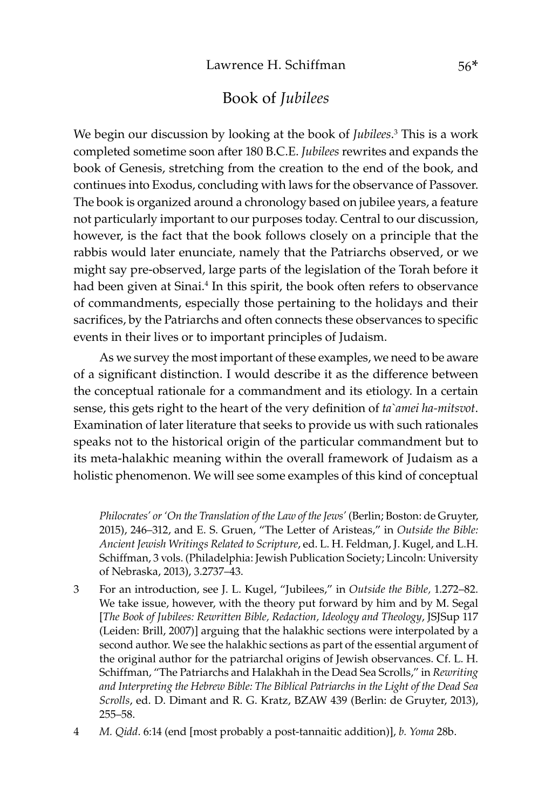#### Book of *Jubilees*

We begin our discussion by looking at the book of *Jubilees*. 3 This is a work completed sometime soon after 180 B.C.E. *Jubilees* rewrites and expands the book of Genesis, stretching from the creation to the end of the book, and continues into Exodus, concluding with laws for the observance of Passover. The book is organized around a chronology based on jubilee years, a feature not particularly important to our purposes today. Central to our discussion, however, is the fact that the book follows closely on a principle that the rabbis would later enunciate, namely that the Patriarchs observed, or we might say pre-observed, large parts of the legislation of the Torah before it had been given at Sinai.<sup>4</sup> In this spirit, the book often refers to observance of commandments, especially those pertaining to the holidays and their sacrifices, by the Patriarchs and often connects these observances to specific events in their lives or to important principles of Judaism.

As we survey the most important of these examples, we need to be aware of a significant distinction. I would describe it as the difference between the conceptual rationale for a commandment and its etiology. In a certain sense, this gets right to the heart of the very definition of *ta`amei ha-mitsvot*. Examination of later literature that seeks to provide us with such rationales speaks not to the historical origin of the particular commandment but to its meta-halakhic meaning within the overall framework of Judaism as a holistic phenomenon. We will see some examples of this kind of conceptual

*Philocrates' or 'On the Translation of the Law of the Jews'* (Berlin; Boston: de Gruyter, 2015), 246–312, and E. S. Gruen, "The Letter of Aristeas," in *Outside the Bible: Ancient Jewish Writings Related to Scripture*, ed. L. H. Feldman, J. Kugel, and L.H. Schiffman, 3 vols. (Philadelphia: Jewish Publication Society; Lincoln: University of Nebraska, 2013), 3.2737–43.

- 3 For an introduction, see J. L. Kugel, "Jubilees," in *Outside the Bible,* 1.272–82. We take issue, however, with the theory put forward by him and by M. Segal [*The Book of Jubilees: Rewritten Bible, Redaction, Ideology and Theology*, JSJSup 117 (Leiden: Brill, 2007)] arguing that the halakhic sections were interpolated by a second author. We see the halakhic sections as part of the essential argument of the original author for the patriarchal origins of Jewish observances. Cf. L. H. Schiffman, "The Patriarchs and Halakhah in the Dead Sea Scrolls," in *Rewriting and Interpreting the Hebrew Bible: The Biblical Patriarchs in the Light of the Dead Sea Scrolls*, ed. D. Dimant and R. G. Kratz, BZAW 439 (Berlin: de Gruyter, 2013), 255–58.
- 4 *M. Qidd*. 6:14 (end [most probably a post-tannaitic addition)], *b. Yoma* 28b.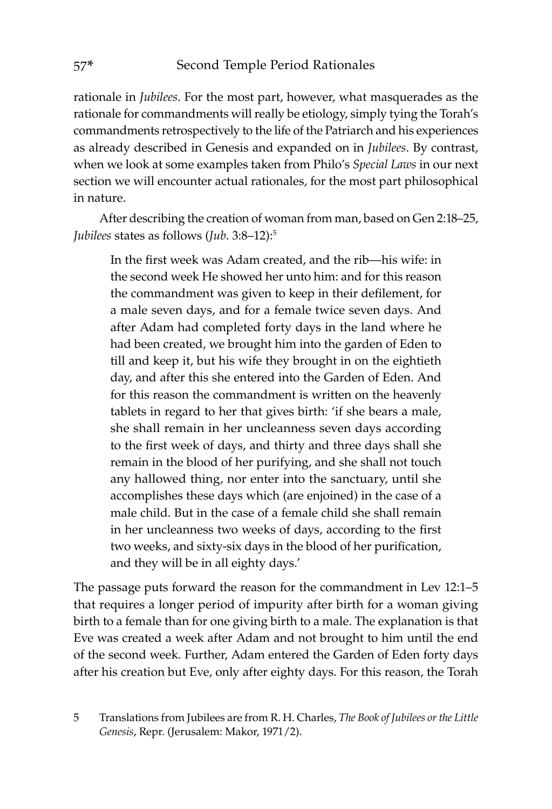rationale in *Jubilees*. For the most part, however, what masquerades as the rationale for commandments will really be etiology, simply tying the Torah's commandments retrospectively to the life of the Patriarch and his experiences as already described in Genesis and expanded on in *Jubilees*. By contrast, when we look at some examples taken from Philo's *Special Laws* in our next section we will encounter actual rationales, for the most part philosophical in nature.

After describing the creation of woman from man, based on Gen 2:18–25, *Jubilees* states as follows (*Jub*. 3:8–12):5

In the first week was Adam created, and the rib—his wife: in the second week He showed her unto him: and for this reason the commandment was given to keep in their defilement, for a male seven days, and for a female twice seven days. And after Adam had completed forty days in the land where he had been created, we brought him into the garden of Eden to till and keep it, but his wife they brought in on the eightieth day, and after this she entered into the Garden of Eden. And for this reason the commandment is written on the heavenly tablets in regard to her that gives birth: 'if she bears a male, she shall remain in her uncleanness seven days according to the first week of days, and thirty and three days shall she remain in the blood of her purifying, and she shall not touch any hallowed thing, nor enter into the sanctuary, until she accomplishes these days which (are enjoined) in the case of a male child. But in the case of a female child she shall remain in her uncleanness two weeks of days, according to the first two weeks, and sixty-six days in the blood of her purification, and they will be in all eighty days.'

The passage puts forward the reason for the commandment in Lev 12:1–5 that requires a longer period of impurity after birth for a woman giving birth to a female than for one giving birth to a male. The explanation is that Eve was created a week after Adam and not brought to him until the end of the second week. Further, Adam entered the Garden of Eden forty days after his creation but Eve, only after eighty days. For this reason, the Torah

<sup>5</sup> Translations from Jubilees are from R. H. Charles, *The Book of Jubilees or the Little Genesis*, Repr. (Jerusalem: Makor, 1971/2).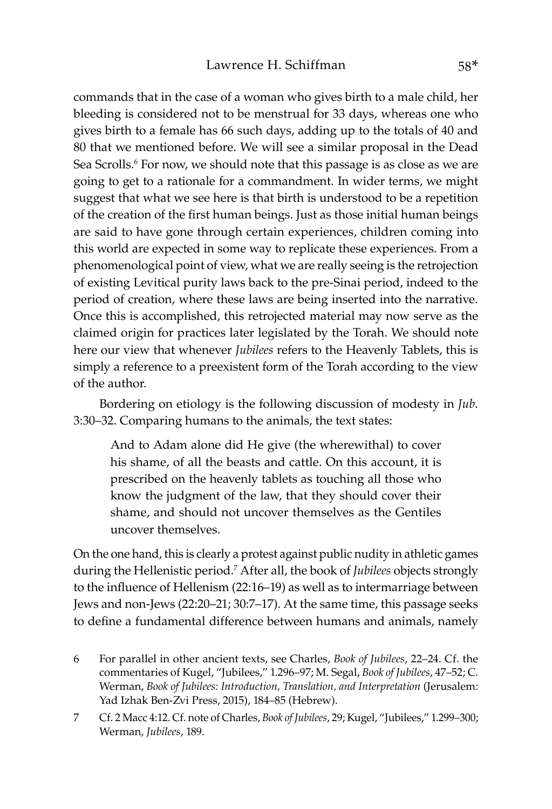commands that in the case of a woman who gives birth to a male child, her bleeding is considered not to be menstrual for 33 days, whereas one who gives birth to a female has 66 such days, adding up to the totals of 40 and 80 that we mentioned before. We will see a similar proposal in the Dead Sea Scrolls.<sup>6</sup> For now, we should note that this passage is as close as we are going to get to a rationale for a commandment. In wider terms, we might suggest that what we see here is that birth is understood to be a repetition of the creation of the first human beings. Just as those initial human beings are said to have gone through certain experiences, children coming into this world are expected in some way to replicate these experiences. From a phenomenological point of view, what we are really seeing is the retrojection of existing Levitical purity laws back to the pre-Sinai period, indeed to the period of creation, where these laws are being inserted into the narrative. Once this is accomplished, this retrojected material may now serve as the claimed origin for practices later legislated by the Torah. We should note here our view that whenever *Jubilees* refers to the Heavenly Tablets, this is simply a reference to a preexistent form of the Torah according to the view of the author.

Bordering on etiology is the following discussion of modesty in *Jub*. 3:30–32. Comparing humans to the animals, the text states:

And to Adam alone did He give (the wherewithal) to cover his shame, of all the beasts and cattle. On this account, it is prescribed on the heavenly tablets as touching all those who know the judgment of the law, that they should cover their shame, and should not uncover themselves as the Gentiles uncover themselves.

On the one hand, this is clearly a protest against public nudity in athletic games during the Hellenistic period.<sup>7</sup> After all, the book of *Jubilees* objects strongly to the influence of Hellenism (22:16–19) as well as to intermarriage between Jews and non-Jews (22:20–21; 30:7–17). At the same time, this passage seeks to define a fundamental difference between humans and animals, namely

<sup>6</sup> For parallel in other ancient texts, see Charles, *Book of Jubilees*, 22–24. Cf. the commentaries of Kugel, "Jubilees," 1.296–97; M. Segal, *Book of Jubilees*, 47–52; C. Werman, *Book of Jubilees: Introduction, Translation, and Interpretation* (Jerusalem: Yad Izhak Ben-Zvi Press, 2015), 184–85 (Hebrew).

<sup>7</sup> Cf. 2 Macc 4:12. Cf. note of Charles, *Book of Jubilees*, 29; Kugel, "Jubilees," 1.299–300; Werman, *Jubilees*, 189.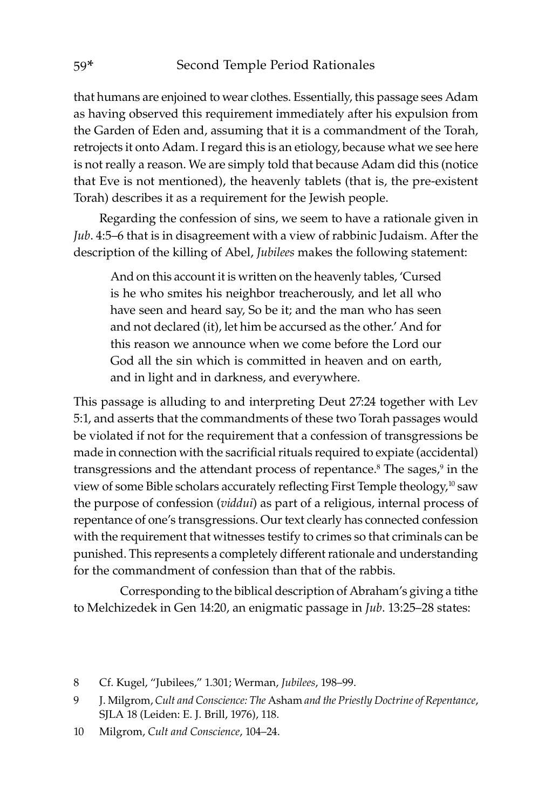that humans are enjoined to wear clothes. Essentially, this passage sees Adam as having observed this requirement immediately after his expulsion from the Garden of Eden and, assuming that it is a commandment of the Torah, retrojects it onto Adam. I regard this is an etiology, because what we see here is not really a reason. We are simply told that because Adam did this (notice that Eve is not mentioned), the heavenly tablets (that is, the pre-existent Torah) describes it as a requirement for the Jewish people.

Regarding the confession of sins, we seem to have a rationale given in *Jub*. 4:5–6 that is in disagreement with a view of rabbinic Judaism. After the description of the killing of Abel, *Jubilees* makes the following statement:

And on this account it is written on the heavenly tables, 'Cursed is he who smites his neighbor treacherously, and let all who have seen and heard say, So be it; and the man who has seen and not declared (it), let him be accursed as the other.' And for this reason we announce when we come before the Lord our God all the sin which is committed in heaven and on earth, and in light and in darkness, and everywhere.

This passage is alluding to and interpreting Deut 27:24 together with Lev 5:1, and asserts that the commandments of these two Torah passages would be violated if not for the requirement that a confession of transgressions be made in connection with the sacrificial rituals required to expiate (accidental) transgressions and the attendant process of repentance.<sup>8</sup> The sages,<sup>9</sup> in the view of some Bible scholars accurately reflecting First Temple theology,<sup>10</sup> saw the purpose of confession (*viddui*) as part of a religious, internal process of repentance of one's transgressions. Our text clearly has connected confession with the requirement that witnesses testify to crimes so that criminals can be punished. This represents a completely different rationale and understanding for the commandment of confession than that of the rabbis.

Corresponding to the biblical description of Abraham's giving a tithe to Melchizedek in Gen 14:20, an enigmatic passage in *Jub*. 13:25–28 states:

<sup>8</sup> Cf. Kugel, "Jubilees," 1.301; Werman, *Jubilees*, 198–99.

<sup>9</sup> J. Milgrom, *Cult and Conscience: The* Asham *and the Priestly Doctrine of Repentance*, SJLA 18 (Leiden: E. J. Brill, 1976), 118.

<sup>10</sup> Milgrom, *Cult and Conscience*, 104–24.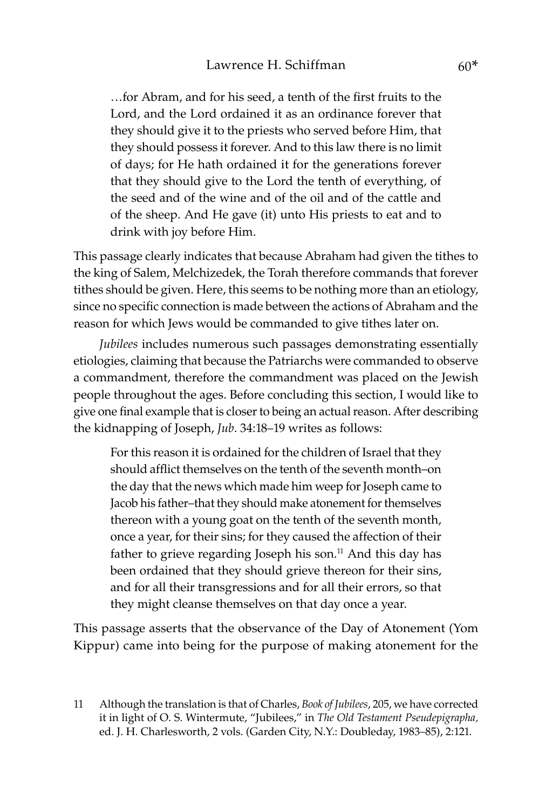…for Abram, and for his seed, a tenth of the first fruits to the Lord, and the Lord ordained it as an ordinance forever that they should give it to the priests who served before Him, that they should possess it forever. And to this law there is no limit of days; for He hath ordained it for the generations forever that they should give to the Lord the tenth of everything, of the seed and of the wine and of the oil and of the cattle and of the sheep. And He gave (it) unto His priests to eat and to drink with joy before Him.

This passage clearly indicates that because Abraham had given the tithes to the king of Salem, Melchizedek, the Torah therefore commands that forever tithes should be given. Here, this seems to be nothing more than an etiology, since no specific connection is made between the actions of Abraham and the reason for which Jews would be commanded to give tithes later on.

*Jubilees* includes numerous such passages demonstrating essentially etiologies, claiming that because the Patriarchs were commanded to observe a commandment, therefore the commandment was placed on the Jewish people throughout the ages. Before concluding this section, I would like to give one final example that is closer to being an actual reason. After describing the kidnapping of Joseph, *Jub*. 34:18–19 writes as follows:

For this reason it is ordained for the children of Israel that they should afflict themselves on the tenth of the seventh month–on the day that the news which made him weep for Joseph came to Jacob his father–that they should make atonement for themselves thereon with a young goat on the tenth of the seventh month, once a year, for their sins; for they caused the affection of their father to grieve regarding Joseph his son.<sup>11</sup> And this day has been ordained that they should grieve thereon for their sins, and for all their transgressions and for all their errors, so that they might cleanse themselves on that day once a year.

This passage asserts that the observance of the Day of Atonement (Yom Kippur) came into being for the purpose of making atonement for the

<sup>11</sup> Although the translation is that of Charles, *Book of Jubilees*, 205, we have corrected it in light of O. S. Wintermute, "Jubilees," in *The Old Testament Pseudepigrapha,*  ed. J. H. Charlesworth, 2 vols. (Garden City, N.Y.: Doubleday, 1983–85), 2:121.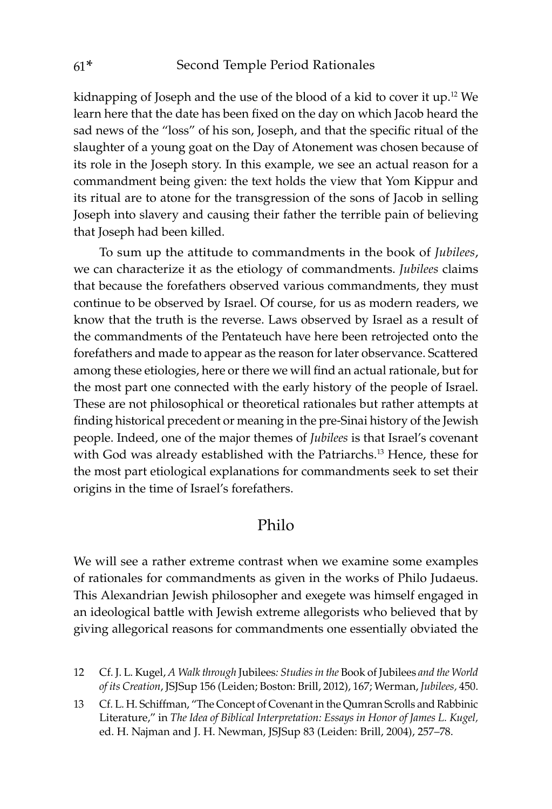kidnapping of Joseph and the use of the blood of a kid to cover it up.12 We learn here that the date has been fixed on the day on which Jacob heard the sad news of the "loss" of his son, Joseph, and that the specific ritual of the slaughter of a young goat on the Day of Atonement was chosen because of its role in the Joseph story. In this example, we see an actual reason for a commandment being given: the text holds the view that Yom Kippur and its ritual are to atone for the transgression of the sons of Jacob in selling Joseph into slavery and causing their father the terrible pain of believing that Joseph had been killed.

To sum up the attitude to commandments in the book of *Jubilees*, we can characterize it as the etiology of commandments. *Jubilees* claims that because the forefathers observed various commandments, they must continue to be observed by Israel. Of course, for us as modern readers, we know that the truth is the reverse. Laws observed by Israel as a result of the commandments of the Pentateuch have here been retrojected onto the forefathers and made to appear as the reason for later observance. Scattered among these etiologies, here or there we will find an actual rationale, but for the most part one connected with the early history of the people of Israel. These are not philosophical or theoretical rationales but rather attempts at finding historical precedent or meaning in the pre-Sinai history of the Jewish people. Indeed, one of the major themes of *Jubilees* is that Israel's covenant with God was already established with the Patriarchs.<sup>13</sup> Hence, these for the most part etiological explanations for commandments seek to set their origins in the time of Israel's forefathers.

#### Philo

We will see a rather extreme contrast when we examine some examples of rationales for commandments as given in the works of Philo Judaeus. This Alexandrian Jewish philosopher and exegete was himself engaged in an ideological battle with Jewish extreme allegorists who believed that by giving allegorical reasons for commandments one essentially obviated the

12 Cf. J. L. Kugel, *A Walk through* Jubilees*: Studies in the* Book of Jubilees *and the World of its Creation*, JSJSup 156 (Leiden; Boston: Brill, 2012), 167; Werman, *Jubilees,* 450.

13 Cf. L. H. Schiffman, "The Concept of Covenant in the Qumran Scrolls and Rabbinic Literature," in *The Idea of Biblical Interpretation: Essays in Honor of James L. Kugel,*  ed. H. Najman and J. H. Newman, JSJSup 83 (Leiden: Brill, 2004), 257–78.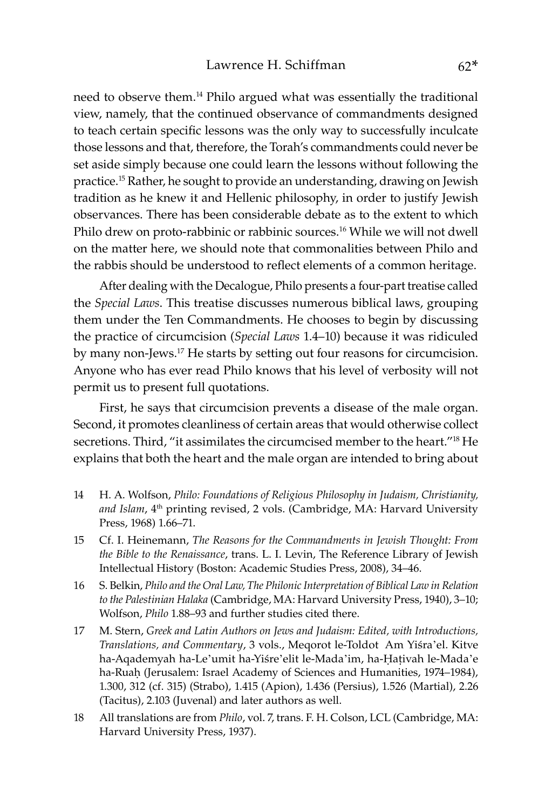need to observe them.<sup>14</sup> Philo argued what was essentially the traditional view, namely, that the continued observance of commandments designed to teach certain specific lessons was the only way to successfully inculcate those lessons and that, therefore, the Torah's commandments could never be set aside simply because one could learn the lessons without following the practice.15 Rather, he sought to provide an understanding, drawing on Jewish tradition as he knew it and Hellenic philosophy, in order to justify Jewish observances. There has been considerable debate as to the extent to which Philo drew on proto-rabbinic or rabbinic sources.<sup>16</sup> While we will not dwell on the matter here, we should note that commonalities between Philo and the rabbis should be understood to reflect elements of a common heritage.

After dealing with the Decalogue, Philo presents a four-part treatise called the *Special Laws*. This treatise discusses numerous biblical laws, grouping them under the Ten Commandments. He chooses to begin by discussing the practice of circumcision (*Special Laws* 1.4–10) because it was ridiculed by many non-Jews.<sup>17</sup> He starts by setting out four reasons for circumcision. Anyone who has ever read Philo knows that his level of verbosity will not permit us to present full quotations.

First, he says that circumcision prevents a disease of the male organ. Second, it promotes cleanliness of certain areas that would otherwise collect secretions. Third, "it assimilates the circumcised member to the heart."18 He explains that both the heart and the male organ are intended to bring about

- 14 H. A. Wolfson, *Philo: Foundations of Religious Philosophy in Judaism, Christianity,*  and Islam, 4<sup>th</sup> printing revised, 2 vols. (Cambridge, MA: Harvard University Press, 1968) 1.66–71.
- 15 Cf. I. Heinemann, *The Reasons for the Commandments in Jewish Thought: From the Bible to the Renaissance*, trans. L. I. Levin, The Reference Library of Jewish Intellectual History (Boston: Academic Studies Press, 2008), 34–46.
- 16 S. Belkin, *Philo and the Oral Law, The Philonic Interpretation of Biblical Law in Relation to the Palestinian Halaka* (Cambridge, MA: Harvard University Press, 1940), 3–10; Wolfson, *Philo* 1.88–93 and further studies cited there.
- 17 M. Stern, *Greek and Latin Authors on Jews and Judaism: Edited, with Introductions, Translations, and Commentary*, 3 vols., Meqorot le-Toldot ʻAm Yiśra'el. Kitve ha-Aqademyah ha-Le'umit ha-Yiśre'elit le-Mada'im, ha-Ḥaṭivah le-Mada'e ha-Ruaḥ (Jerusalem: Israel Academy of Sciences and Humanities, 1974–1984), 1.300, 312 (cf. 315) (Strabo), 1.415 (Apion), 1.436 (Persius), 1.526 (Martial), 2.26 (Tacitus), 2.103 (Juvenal) and later authors as well.
- 18 All translations are from *Philo*, vol. 7, trans. F. H. Colson, LCL (Cambridge, MA: Harvard University Press, 1937).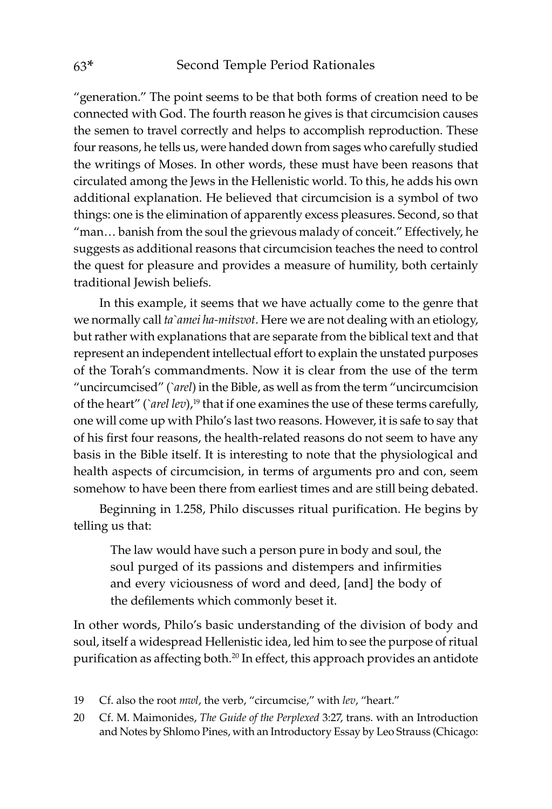"generation." The point seems to be that both forms of creation need to be connected with God. The fourth reason he gives is that circumcision causes the semen to travel correctly and helps to accomplish reproduction. These four reasons, he tells us, were handed down from sages who carefully studied the writings of Moses. In other words, these must have been reasons that circulated among the Jews in the Hellenistic world. To this, he adds his own additional explanation. He believed that circumcision is a symbol of two things: one is the elimination of apparently excess pleasures. Second, so that "man… banish from the soul the grievous malady of conceit." Effectively, he suggests as additional reasons that circumcision teaches the need to control the quest for pleasure and provides a measure of humility, both certainly traditional Jewish beliefs.

In this example, it seems that we have actually come to the genre that we normally call *ta`amei ha-mitsvot*. Here we are not dealing with an etiology, but rather with explanations that are separate from the biblical text and that represent an independent intellectual effort to explain the unstated purposes of the Torah's commandments. Now it is clear from the use of the term "uncircumcised" (*`arel*) in the Bible, as well as from the term "uncircumcision of the heart" (*`arel lev*),<sup>19</sup> that if one examines the use of these terms carefully, one will come up with Philo's last two reasons. However, it is safe to say that of his first four reasons, the health-related reasons do not seem to have any basis in the Bible itself. It is interesting to note that the physiological and health aspects of circumcision, in terms of arguments pro and con, seem somehow to have been there from earliest times and are still being debated.

Beginning in 1.258, Philo discusses ritual purification. He begins by telling us that:

The law would have such a person pure in body and soul, the soul purged of its passions and distempers and infirmities and every viciousness of word and deed, [and] the body of the defilements which commonly beset it.

In other words, Philo's basic understanding of the division of body and soul, itself a widespread Hellenistic idea, led him to see the purpose of ritual purification as affecting both.<sup>20</sup> In effect, this approach provides an antidote

- 19 Cf. also the root *mwl*, the verb, "circumcise," with *lev*, "heart."
- 20 Cf. M. Maimonides, *The Guide of the Perplexed* 3:27, trans. with an Introduction and Notes by Shlomo Pines, with an Introductory Essay by Leo Strauss (Chicago: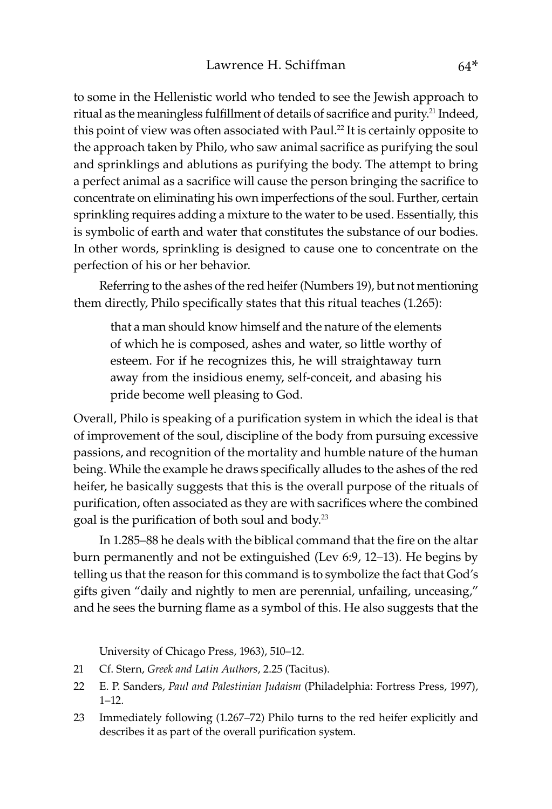to some in the Hellenistic world who tended to see the Jewish approach to ritual as the meaningless fulfillment of details of sacrifice and purity.<sup>21</sup> Indeed, this point of view was often associated with Paul.<sup>22</sup> It is certainly opposite to the approach taken by Philo, who saw animal sacrifice as purifying the soul and sprinklings and ablutions as purifying the body. The attempt to bring a perfect animal as a sacrifice will cause the person bringing the sacrifice to concentrate on eliminating his own imperfections of the soul. Further, certain sprinkling requires adding a mixture to the water to be used. Essentially, this is symbolic of earth and water that constitutes the substance of our bodies. In other words, sprinkling is designed to cause one to concentrate on the perfection of his or her behavior.

Referring to the ashes of the red heifer (Numbers 19), but not mentioning them directly, Philo specifically states that this ritual teaches (1.265):

that a man should know himself and the nature of the elements of which he is composed, ashes and water, so little worthy of esteem. For if he recognizes this, he will straightaway turn away from the insidious enemy, self-conceit, and abasing his pride become well pleasing to God.

Overall, Philo is speaking of a purification system in which the ideal is that of improvement of the soul, discipline of the body from pursuing excessive passions, and recognition of the mortality and humble nature of the human being. While the example he draws specifically alludes to the ashes of the red heifer, he basically suggests that this is the overall purpose of the rituals of purification, often associated as they are with sacrifices where the combined goal is the purification of both soul and body.<sup>23</sup>

In 1.285–88 he deals with the biblical command that the fire on the altar burn permanently and not be extinguished (Lev 6:9, 12–13). He begins by telling us that the reason for this command is to symbolize the fact that God's gifts given "daily and nightly to men are perennial, unfailing, unceasing," and he sees the burning flame as a symbol of this. He also suggests that the

University of Chicago Press, 1963), 510–12.

- 21 Cf. Stern, *Greek and Latin Authors*, 2.25 (Tacitus).
- 22 E. P. Sanders, *Paul and Palestinian Judaism* (Philadelphia: Fortress Press, 1997), 1–12.
- 23 Immediately following (1.267–72) Philo turns to the red heifer explicitly and describes it as part of the overall purification system.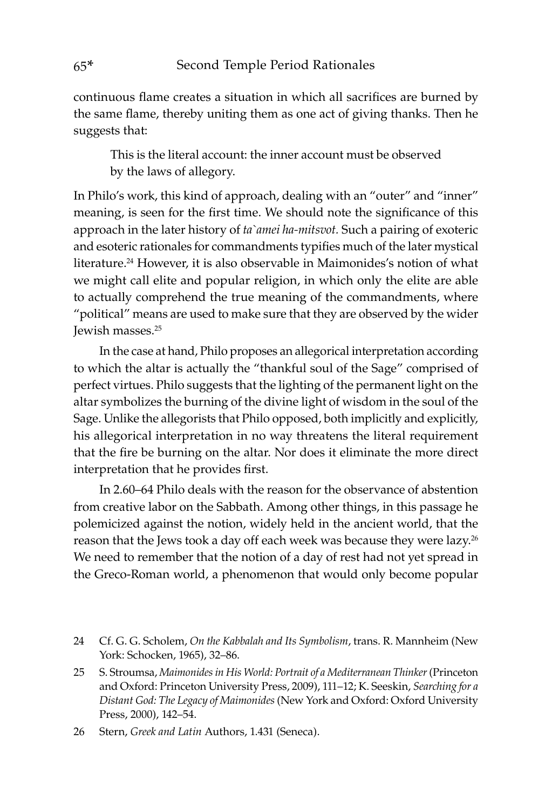continuous flame creates a situation in which all sacrifices are burned by the same flame, thereby uniting them as one act of giving thanks. Then he suggests that:

This is the literal account: the inner account must be observed by the laws of allegory.

In Philo's work, this kind of approach, dealing with an "outer" and "inner" meaning, is seen for the first time. We should note the significance of this approach in the later history of *ta`amei ha-mitsvot.* Such a pairing of exoteric and esoteric rationales for commandments typifies much of the later mystical literature.24 However, it is also observable in Maimonides's notion of what we might call elite and popular religion, in which only the elite are able to actually comprehend the true meaning of the commandments, where "political" means are used to make sure that they are observed by the wider Jewish masses.25

In the case at hand, Philo proposes an allegorical interpretation according to which the altar is actually the "thankful soul of the Sage" comprised of perfect virtues. Philo suggests that the lighting of the permanent light on the altar symbolizes the burning of the divine light of wisdom in the soul of the Sage. Unlike the allegorists that Philo opposed, both implicitly and explicitly, his allegorical interpretation in no way threatens the literal requirement that the fire be burning on the altar. Nor does it eliminate the more direct interpretation that he provides first.

In 2.60–64 Philo deals with the reason for the observance of abstention from creative labor on the Sabbath. Among other things, in this passage he polemicized against the notion, widely held in the ancient world, that the reason that the Jews took a day off each week was because they were lazy.<sup>26</sup> We need to remember that the notion of a day of rest had not yet spread in the Greco-Roman world, a phenomenon that would only become popular

<sup>24</sup> Cf. G. G. Scholem, *On the Kabbalah and Its Symbolism*, trans. R. Mannheim (New York: Schocken, 1965), 32–86.

<sup>25</sup> S. Stroumsa, *Maimonides in His World: Portrait of a Mediterranean Thinker* (Princeton and Oxford: Princeton University Press, 2009), 111–12; K. Seeskin, *Searching for a Distant God: The Legacy of Maimonides* (New York and Oxford: Oxford University Press, 2000), 142–54.

<sup>26</sup> Stern, *Greek and Latin* Authors, 1.431 (Seneca).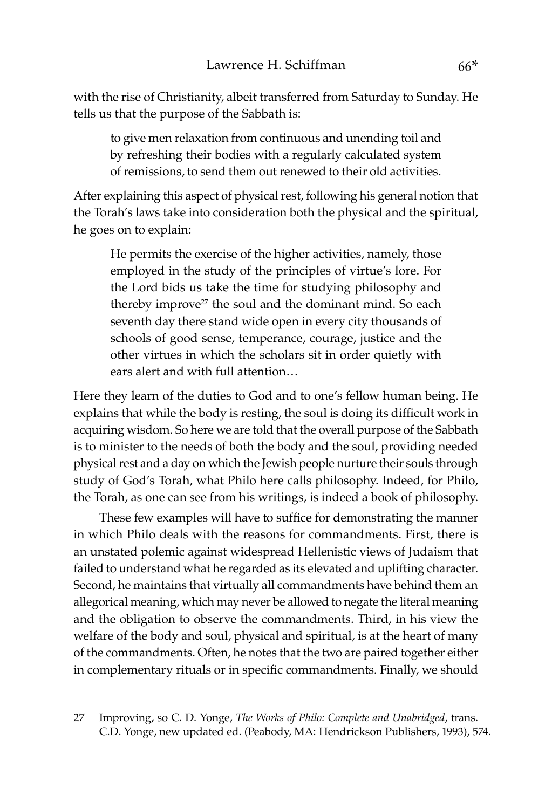with the rise of Christianity, albeit transferred from Saturday to Sunday. He tells us that the purpose of the Sabbath is:

to give men relaxation from continuous and unending toil and by refreshing their bodies with a regularly calculated system of remissions, to send them out renewed to their old activities.

After explaining this aspect of physical rest, following his general notion that the Torah's laws take into consideration both the physical and the spiritual, he goes on to explain:

He permits the exercise of the higher activities, namely, those employed in the study of the principles of virtue's lore. For the Lord bids us take the time for studying philosophy and thereby improve<sup>27</sup> the soul and the dominant mind. So each seventh day there stand wide open in every city thousands of schools of good sense, temperance, courage, justice and the other virtues in which the scholars sit in order quietly with ears alert and with full attention…

Here they learn of the duties to God and to one's fellow human being. He explains that while the body is resting, the soul is doing its difficult work in acquiring wisdom. So here we are told that the overall purpose of the Sabbath is to minister to the needs of both the body and the soul, providing needed physical rest and a day on which the Jewish people nurture their souls through study of God's Torah, what Philo here calls philosophy. Indeed, for Philo, the Torah, as one can see from his writings, is indeed a book of philosophy.

These few examples will have to suffice for demonstrating the manner in which Philo deals with the reasons for commandments. First, there is an unstated polemic against widespread Hellenistic views of Judaism that failed to understand what he regarded as its elevated and uplifting character. Second, he maintains that virtually all commandments have behind them an allegorical meaning, which may never be allowed to negate the literal meaning and the obligation to observe the commandments. Third, in his view the welfare of the body and soul, physical and spiritual, is at the heart of many of the commandments. Often, he notes that the two are paired together either in complementary rituals or in specific commandments. Finally, we should

27 Improving, so C. D. Yonge, *The Works of Philo: Complete and Unabridged*, trans. C.D. Yonge, new updated ed. (Peabody, MA: Hendrickson Publishers, 1993), 574.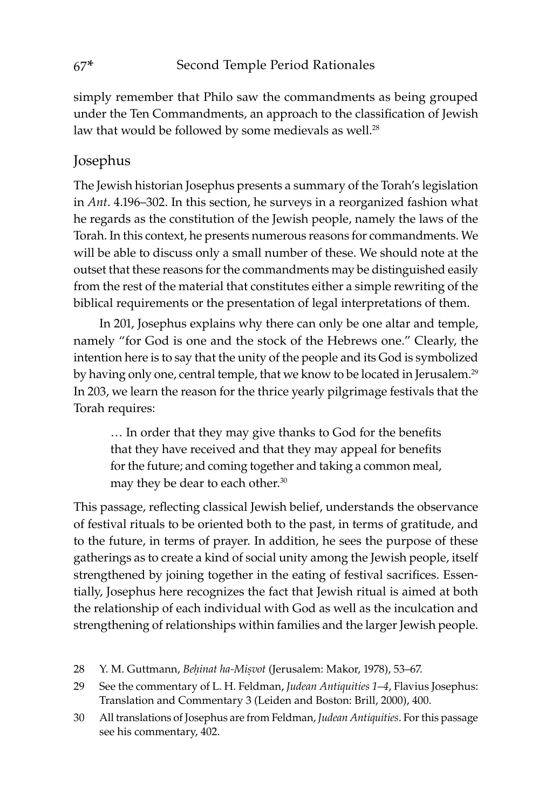simply remember that Philo saw the commandments as being grouped under the Ten Commandments, an approach to the classification of Jewish law that would be followed by some medievals as well.<sup>28</sup>

#### Josephus

The Jewish historian Josephus presents a summary of the Torah's legislation in *Ant*. 4.196–302. In this section, he surveys in a reorganized fashion what he regards as the constitution of the Jewish people, namely the laws of the Torah. In this context, he presents numerous reasons for commandments. We will be able to discuss only a small number of these. We should note at the outset that these reasons for the commandments may be distinguished easily from the rest of the material that constitutes either a simple rewriting of the biblical requirements or the presentation of legal interpretations of them.

In 201, Josephus explains why there can only be one altar and temple, namely "for God is one and the stock of the Hebrews one." Clearly, the intention here is to say that the unity of the people and its God is symbolized by having only one, central temple, that we know to be located in Jerusalem.<sup>29</sup> In 203, we learn the reason for the thrice yearly pilgrimage festivals that the Torah requires:

… In order that they may give thanks to God for the benefits that they have received and that they may appeal for benefits for the future; and coming together and taking a common meal, may they be dear to each other.<sup>30</sup>

This passage, reflecting classical Jewish belief, understands the observance of festival rituals to be oriented both to the past, in terms of gratitude, and to the future, in terms of prayer. In addition, he sees the purpose of these gatherings as to create a kind of social unity among the Jewish people, itself strengthened by joining together in the eating of festival sacrifices. Essentially, Josephus here recognizes the fact that Jewish ritual is aimed at both the relationship of each individual with God as well as the inculcation and strengthening of relationships within families and the larger Jewish people.

29 See the commentary of L. H. Feldman, *Judean Antiquities 1*–*4*, Flavius Josephus: Translation and Commentary 3 (Leiden and Boston: Brill, 2000), 400.

<sup>28</sup> Y. M. Guttmann, *Beḥinat ha-Miṣvot* (Jerusalem: Makor, 1978), 53–67.

<sup>30</sup> All translations of Josephus are from Feldman, *Judean Antiquities*. For this passage see his commentary, 402.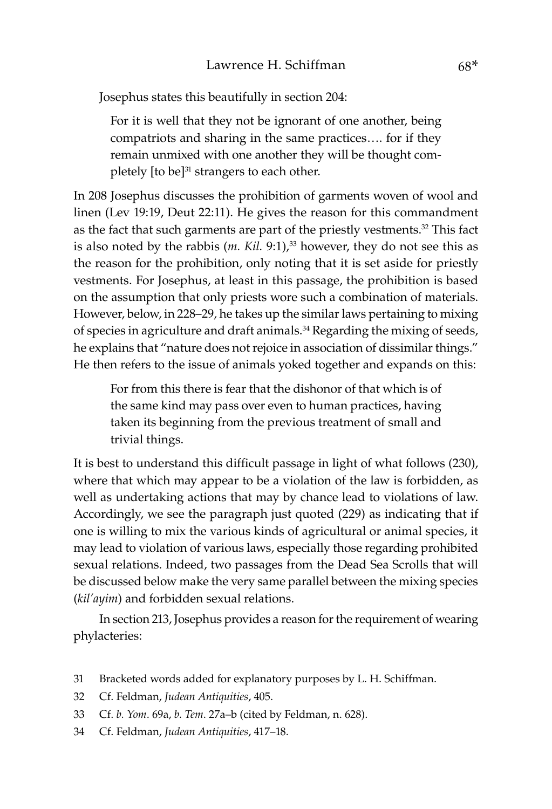Josephus states this beautifully in section 204:

For it is well that they not be ignorant of one another, being compatriots and sharing in the same practices…. for if they remain unmixed with one another they will be thought completely [to be]<sup>31</sup> strangers to each other.

In 208 Josephus discusses the prohibition of garments woven of wool and linen (Lev 19:19, Deut 22:11). He gives the reason for this commandment as the fact that such garments are part of the priestly vestments.<sup>32</sup> This fact is also noted by the rabbis  $(m. Kil. 9:1)<sup>33</sup>$  however, they do not see this as the reason for the prohibition, only noting that it is set aside for priestly vestments. For Josephus, at least in this passage, the prohibition is based on the assumption that only priests wore such a combination of materials. However, below, in 228–29, he takes up the similar laws pertaining to mixing of species in agriculture and draft animals.<sup>34</sup> Regarding the mixing of seeds, he explains that "nature does not rejoice in association of dissimilar things." He then refers to the issue of animals yoked together and expands on this:

For from this there is fear that the dishonor of that which is of the same kind may pass over even to human practices, having taken its beginning from the previous treatment of small and trivial things.

It is best to understand this difficult passage in light of what follows (230), where that which may appear to be a violation of the law is forbidden, as well as undertaking actions that may by chance lead to violations of law. Accordingly, we see the paragraph just quoted (229) as indicating that if one is willing to mix the various kinds of agricultural or animal species, it may lead to violation of various laws, especially those regarding prohibited sexual relations. Indeed, two passages from the Dead Sea Scrolls that will be discussed below make the very same parallel between the mixing species (*kil'ayim*) and forbidden sexual relations.

In section 213, Josephus provides a reason for the requirement of wearing phylacteries:

- 31 Bracketed words added for explanatory purposes by L. H. Schiffman.
- 32 Cf. Feldman, *Judean Antiquities*, 405.
- 33 Cf. *b. Yom*. 69a, *b. Tem*. 27a–b (cited by Feldman, n. 628).
- 34 Cf. Feldman, *Judean Antiquities*, 417–18.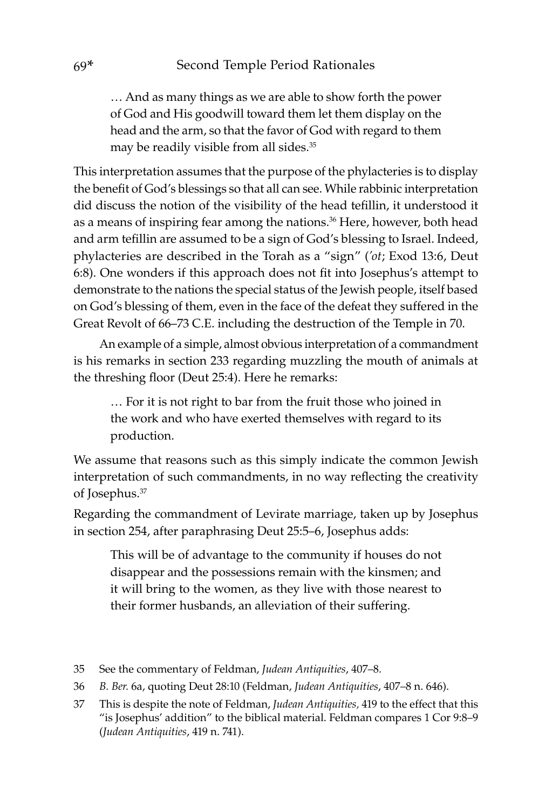… And as many things as we are able to show forth the power of God and His goodwill toward them let them display on the head and the arm, so that the favor of God with regard to them may be readily visible from all sides.35

This interpretation assumes that the purpose of the phylacteries is to display the benefit of God's blessings so that all can see. While rabbinic interpretation did discuss the notion of the visibility of the head tefillin, it understood it as a means of inspiring fear among the nations.<sup>36</sup> Here, however, both head and arm tefillin are assumed to be a sign of God's blessing to Israel. Indeed, phylacteries are described in the Torah as a "sign" (*'ot*; Exod 13:6, Deut 6:8). One wonders if this approach does not fit into Josephus's attempt to demonstrate to the nations the special status of the Jewish people, itself based on God's blessing of them, even in the face of the defeat they suffered in the Great Revolt of 66–73 C.E. including the destruction of the Temple in 70.

An example of a simple, almost obvious interpretation of a commandment is his remarks in section 233 regarding muzzling the mouth of animals at the threshing floor (Deut 25:4). Here he remarks:

… For it is not right to bar from the fruit those who joined in the work and who have exerted themselves with regard to its production.

We assume that reasons such as this simply indicate the common Jewish interpretation of such commandments, in no way reflecting the creativity of Josephus.<sup>37</sup>

Regarding the commandment of Levirate marriage, taken up by Josephus in section 254, after paraphrasing Deut 25:5–6, Josephus adds:

This will be of advantage to the community if houses do not disappear and the possessions remain with the kinsmen; and it will bring to the women, as they live with those nearest to their former husbands, an alleviation of their suffering.

- 35 See the commentary of Feldman, *Judean Antiquities*, 407–8.
- 36 *B. Ber.* 6a, quoting Deut 28:10 (Feldman, *Judean Antiquities*, 407–8 n. 646).
- 37 This is despite the note of Feldman, *Judean Antiquities,* 419 to the effect that this "is Josephus' addition" to the biblical material. Feldman compares 1 Cor 9:8–9 (*Judean Antiquities*, 419 n. 741).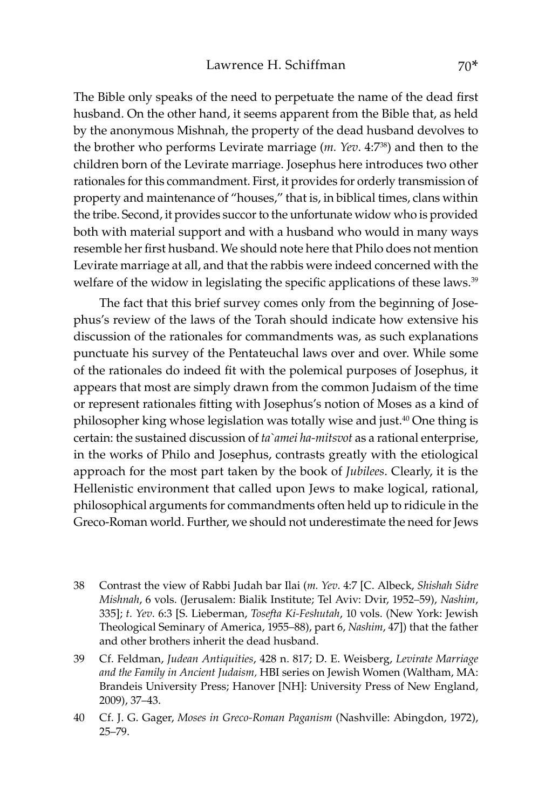The Bible only speaks of the need to perpetuate the name of the dead first husband. On the other hand, it seems apparent from the Bible that, as held by the anonymous Mishnah, the property of the dead husband devolves to the brother who performs Levirate marriage (*m. Yev*. 4:738) and then to the children born of the Levirate marriage. Josephus here introduces two other rationales for this commandment. First, it provides for orderly transmission of property and maintenance of "houses," that is, in biblical times, clans within the tribe. Second, it provides succor to the unfortunate widow who is provided both with material support and with a husband who would in many ways resemble her first husband. We should note here that Philo does not mention Levirate marriage at all, and that the rabbis were indeed concerned with the welfare of the widow in legislating the specific applications of these laws.<sup>39</sup>

The fact that this brief survey comes only from the beginning of Josephus's review of the laws of the Torah should indicate how extensive his discussion of the rationales for commandments was, as such explanations punctuate his survey of the Pentateuchal laws over and over. While some of the rationales do indeed fit with the polemical purposes of Josephus, it appears that most are simply drawn from the common Judaism of the time or represent rationales fitting with Josephus's notion of Moses as a kind of philosopher king whose legislation was totally wise and just.<sup>40</sup> One thing is certain: the sustained discussion of *ta`amei ha-mitsvot* as a rational enterprise, in the works of Philo and Josephus, contrasts greatly with the etiological approach for the most part taken by the book of *Jubilees*. Clearly, it is the Hellenistic environment that called upon Jews to make logical, rational, philosophical arguments for commandments often held up to ridicule in the Greco-Roman world. Further, we should not underestimate the need for Jews

38 Contrast the view of Rabbi Judah bar Ilai (*m. Yev*. 4:7 [C. Albeck, *Shishah Sidre Mishnah*, 6 vols. (Jerusalem: Bialik Institute; Tel Aviv: Dvir, 1952–59), *Nashim*, 335]; *t. Yev*. 6:3 [S. Lieberman, *Tosefta Ki-Feshutah*, 10 vols. (New York: Jewish Theological Seminary of America, 1955–88), part 6, *Nashim*, 47]) that the father and other brothers inherit the dead husband.

39 Cf. Feldman, *Judean Antiquities*, 428 n. 817; D. E. Weisberg, *Levirate Marriage and the Family in Ancient Judaism,* HBI series on Jewish Women (Waltham, MA: Brandeis University Press; Hanover [NH]: University Press of New England, 2009), 37–43.

<sup>40</sup> Cf. J. G. Gager, *Moses in Greco-Roman Paganism* (Nashville: Abingdon, 1972), 25–79.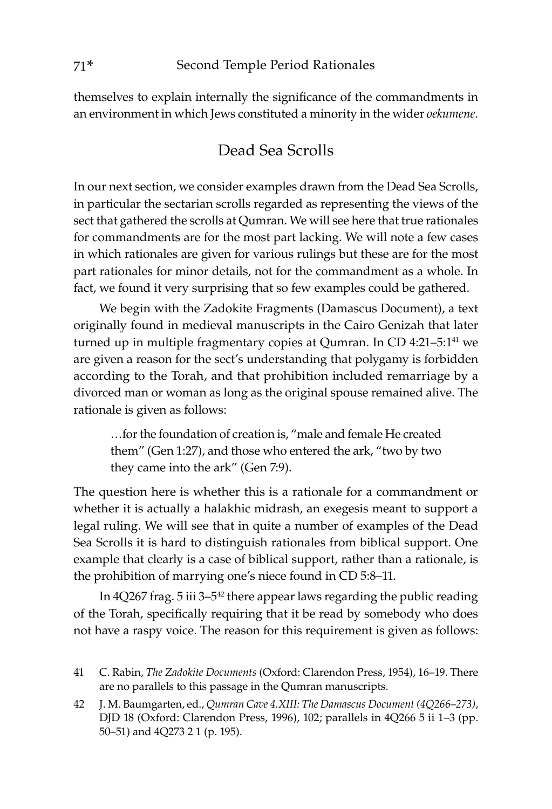themselves to explain internally the significance of the commandments in an environment in which Jews constituted a minority in the wider *oekumene*.

## Dead Sea Scrolls

In our next section, we consider examples drawn from the Dead Sea Scrolls, in particular the sectarian scrolls regarded as representing the views of the sect that gathered the scrolls at Qumran. We will see here that true rationales for commandments are for the most part lacking. We will note a few cases in which rationales are given for various rulings but these are for the most part rationales for minor details, not for the commandment as a whole. In fact, we found it very surprising that so few examples could be gathered.

We begin with the Zadokite Fragments (Damascus Document), a text originally found in medieval manuscripts in the Cairo Genizah that later turned up in multiple fragmentary copies at Qumran. In CD 4:21-5:1<sup>41</sup> we are given a reason for the sect's understanding that polygamy is forbidden according to the Torah, and that prohibition included remarriage by a divorced man or woman as long as the original spouse remained alive. The rationale is given as follows:

…for the foundation of creation is, "male and female He created them" (Gen 1:27), and those who entered the ark, "two by two they came into the ark" (Gen 7:9).

The question here is whether this is a rationale for a commandment or whether it is actually a halakhic midrash, an exegesis meant to support a legal ruling. We will see that in quite a number of examples of the Dead Sea Scrolls it is hard to distinguish rationales from biblical support. One example that clearly is a case of biblical support, rather than a rationale, is the prohibition of marrying one's niece found in CD 5:8–11.

In  $4Q267$  frag. 5 iii  $3-5^{42}$  there appear laws regarding the public reading of the Torah, specifically requiring that it be read by somebody who does not have a raspy voice. The reason for this requirement is given as follows:

<sup>41</sup> C. Rabin, *The Zadokite Documents* (Oxford: Clarendon Press, 1954), 16–19. There are no parallels to this passage in the Qumran manuscripts.

<sup>42</sup> J. M. Baumgarten, ed., *Qumran Cave 4.XIII: The Damascus Document (4Q266*–*273)*, DJD 18 (Oxford: Clarendon Press, 1996), 102; parallels in 4Q266 5 ii 1–3 (pp. 50–51) and 4Q273 2 1 (p. 195).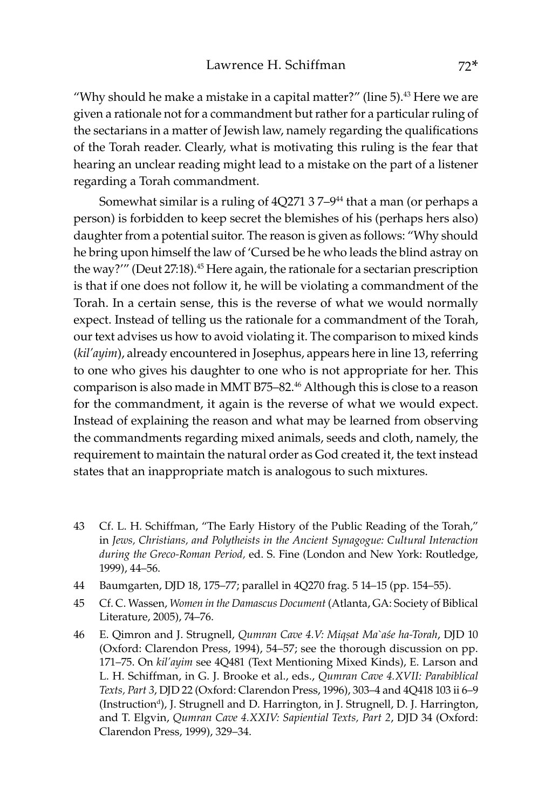"Why should he make a mistake in a capital matter?" (line  $5$ ).<sup>43</sup> Here we are given a rationale not for a commandment but rather for a particular ruling of the sectarians in a matter of Jewish law, namely regarding the qualifications of the Torah reader. Clearly, what is motivating this ruling is the fear that hearing an unclear reading might lead to a mistake on the part of a listener regarding a Torah commandment.

Somewhat similar is a ruling of  $4Q271$  37-9<sup>44</sup> that a man (or perhaps a person) is forbidden to keep secret the blemishes of his (perhaps hers also) daughter from a potential suitor. The reason is given as follows: "Why should he bring upon himself the law of 'Cursed be he who leads the blind astray on the way?'" (Deut 27:18).<sup>45</sup> Here again, the rationale for a sectarian prescription is that if one does not follow it, he will be violating a commandment of the Torah. In a certain sense, this is the reverse of what we would normally expect. Instead of telling us the rationale for a commandment of the Torah, our text advises us how to avoid violating it. The comparison to mixed kinds (*kil'ayim*), already encountered in Josephus, appears here in line 13, referring to one who gives his daughter to one who is not appropriate for her. This comparison is also made in MMT B75–82.46 Although this is close to a reason for the commandment, it again is the reverse of what we would expect. Instead of explaining the reason and what may be learned from observing the commandments regarding mixed animals, seeds and cloth, namely, the requirement to maintain the natural order as God created it, the text instead states that an inappropriate match is analogous to such mixtures.

- 43 Cf. L. H. Schiffman, "The Early History of the Public Reading of the Torah," in *Jews, Christians, and Polytheists in the Ancient Synagogue: Cultural Interaction during the Greco-Roman Period,* ed. S. Fine (London and New York: Routledge, 1999), 44–56.
- 44 Baumgarten, DJD 18, 175–77; parallel in 4Q270 frag. 5 14–15 (pp. 154–55).
- 45 Cf. C. Wassen, *Women in the Damascus Document* (Atlanta, GA: Society of Biblical Literature, 2005), 74–76.
- 46 E. Qimron and J. Strugnell, *Qumran Cave 4.V: Miqṣat Ma`aśe ha-Torah*, DJD 10 (Oxford: Clarendon Press, 1994), 54–57; see the thorough discussion on pp. 171–75. On *kil'ayim* see 4Q481 (Text Mentioning Mixed Kinds), E. Larson and L. H. Schiffman, in G. J. Brooke et al., eds., *Qumran Cave 4.XVII: Parabiblical Texts, Part 3*, DJD 22 (Oxford: Clarendon Press, 1996), 303–4 and 4Q418 103 ii 6–9 (Instruction<sup>d</sup>), J. Strugnell and D. Harrington, in J. Strugnell, D. J. Harrington, and T. Elgvin, *Qumran Cave 4.XXIV: Sapiential Texts, Part 2*, DJD 34 (Oxford: Clarendon Press, 1999), 329–34.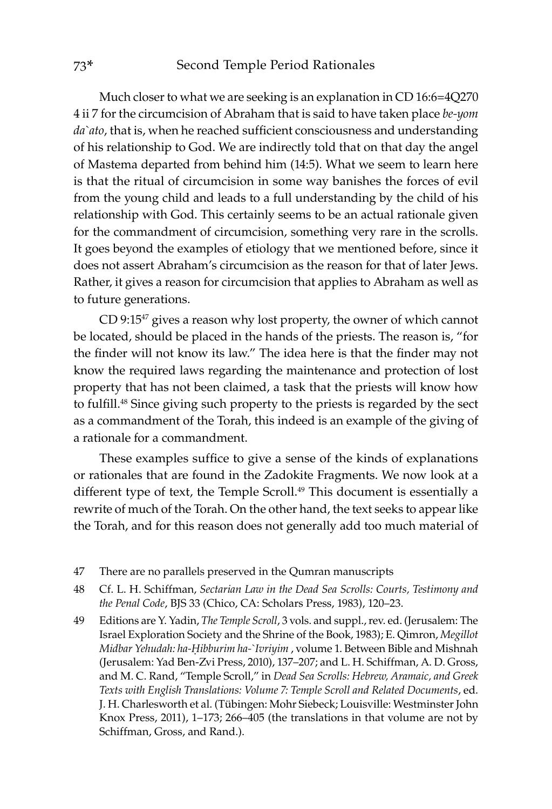Much closer to what we are seeking is an explanation in CD 16:6=4Q270 4 ii 7 for the circumcision of Abraham that is said to have taken place *be-yom da`ato*, that is, when he reached sufficient consciousness and understanding of his relationship to God. We are indirectly told that on that day the angel of Mastema departed from behind him (14:5). What we seem to learn here is that the ritual of circumcision in some way banishes the forces of evil from the young child and leads to a full understanding by the child of his relationship with God. This certainly seems to be an actual rationale given for the commandment of circumcision, something very rare in the scrolls. It goes beyond the examples of etiology that we mentioned before, since it does not assert Abraham's circumcision as the reason for that of later Jews. Rather, it gives a reason for circumcision that applies to Abraham as well as to future generations.

CD 9:15<sup>47</sup> gives a reason why lost property, the owner of which cannot be located, should be placed in the hands of the priests. The reason is, "for the finder will not know its law." The idea here is that the finder may not know the required laws regarding the maintenance and protection of lost property that has not been claimed, a task that the priests will know how to fulfill.<sup>48</sup> Since giving such property to the priests is regarded by the sect as a commandment of the Torah, this indeed is an example of the giving of a rationale for a commandment.

These examples suffice to give a sense of the kinds of explanations or rationales that are found in the Zadokite Fragments. We now look at a different type of text, the Temple Scroll.<sup>49</sup> This document is essentially a rewrite of much of the Torah. On the other hand, the text seeks to appear like the Torah, and for this reason does not generally add too much material of

- 47 There are no parallels preserved in the Qumran manuscripts
- 48 Cf. L. H. Schiffman, *Sectarian Law in the Dead Sea Scrolls: Courts, Testimony and the Penal Code*, BJS 33 (Chico, CA: Scholars Press, 1983), 120–23.
- 49 Editions are Y. Yadin, *The Temple Scroll*, 3 vols. and suppl., rev. ed. (Jerusalem: The Israel Exploration Society and the Shrine of the Book, 1983); E. Qimron, *Megillot Midbar Yehudah: ha-Ḥibburim ha-`Ivriyim* , volume 1. Between Bible and Mishnah (Jerusalem: Yad Ben-Zvi Press, 2010), 137–207; and L. H. Schiffman, A. D. Gross, and M. C. Rand, "Temple Scroll," in *Dead Sea Scrolls: Hebrew, Aramaic, and Greek Texts with English Translations: Volume 7: Temple Scroll and Related Documents*, ed. J. H. Charlesworth et al. (Tübingen: Mohr Siebeck; Louisville: Westminster John Knox Press, 2011), 1–173; 266–405 (the translations in that volume are not by Schiffman, Gross, and Rand.).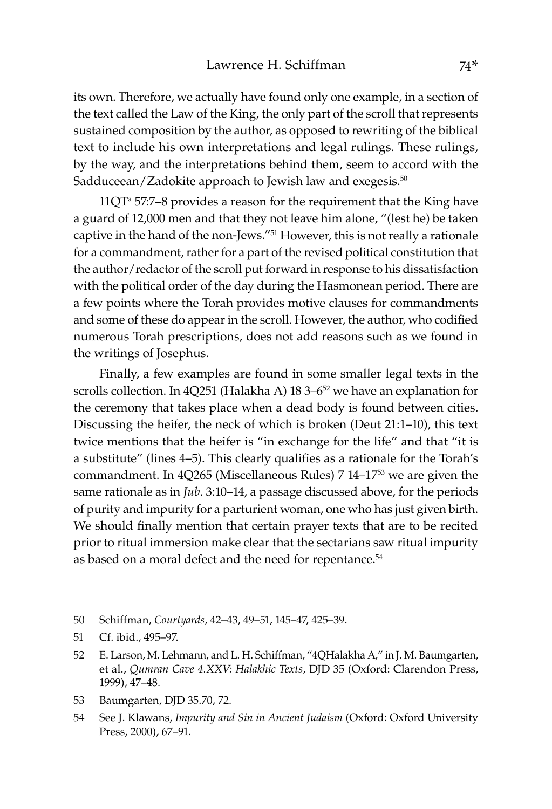its own. Therefore, we actually have found only one example, in a section of the text called the Law of the King, the only part of the scroll that represents sustained composition by the author, as opposed to rewriting of the biblical text to include his own interpretations and legal rulings. These rulings, by the way, and the interpretations behind them, seem to accord with the Sadduceean/Zadokite approach to Jewish law and exegesis.<sup>50</sup>

 $11QT<sup>a</sup> 57:7-8$  provides a reason for the requirement that the King have a guard of 12,000 men and that they not leave him alone, "(lest he) be taken captive in the hand of the non-Jews."51 However, this is not really a rationale for a commandment, rather for a part of the revised political constitution that the author/redactor of the scroll put forward in response to his dissatisfaction with the political order of the day during the Hasmonean period. There are a few points where the Torah provides motive clauses for commandments and some of these do appear in the scroll. However, the author, who codified numerous Torah prescriptions, does not add reasons such as we found in the writings of Josephus.

Finally, a few examples are found in some smaller legal texts in the scrolls collection. In 4Q251 (Halakha A)  $18\,3-6^{52}$  we have an explanation for the ceremony that takes place when a dead body is found between cities. Discussing the heifer, the neck of which is broken (Deut 21:1–10), this text twice mentions that the heifer is "in exchange for the life" and that "it is a substitute" (lines 4–5). This clearly qualifies as a rationale for the Torah's commandment. In 4Q265 (Miscellaneous Rules) 7 14–1753 we are given the same rationale as in *Jub*. 3:10–14, a passage discussed above, for the periods of purity and impurity for a parturient woman, one who has just given birth. We should finally mention that certain prayer texts that are to be recited prior to ritual immersion make clear that the sectarians saw ritual impurity as based on a moral defect and the need for repentance.<sup>54</sup>

- 50 Schiffman, *Courtyards*, 42–43, 49–51, 145–47, 425–39.
- 51 Cf. ibid., 495–97.
- 52 E. Larson, M. Lehmann, and L. H. Schiffman, "4QHalakha A," in J. M. Baumgarten, et al., *Qumran Cave 4.XXV: Halakhic Texts*, DJD 35 (Oxford: Clarendon Press, 1999), 47–48.
- 53 Baumgarten, DJD 35.70, 72.
- 54 See J. Klawans, *Impurity and Sin in Ancient Judaism* (Oxford: Oxford University Press, 2000), 67–91.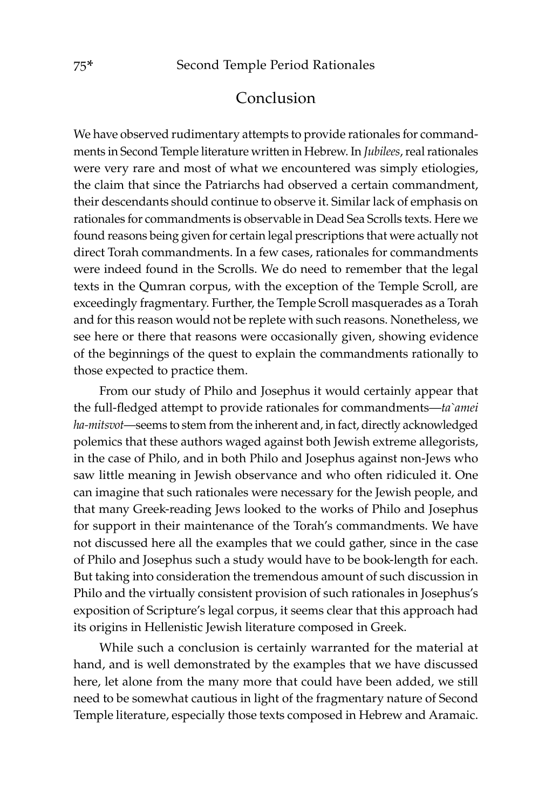## Conclusion

We have observed rudimentary attempts to provide rationales for commandments in Second Temple literature written in Hebrew. In *Jubilees*, real rationales were very rare and most of what we encountered was simply etiologies, the claim that since the Patriarchs had observed a certain commandment, their descendants should continue to observe it. Similar lack of emphasis on rationales for commandments is observable in Dead Sea Scrolls texts. Here we found reasons being given for certain legal prescriptions that were actually not direct Torah commandments. In a few cases, rationales for commandments were indeed found in the Scrolls. We do need to remember that the legal texts in the Qumran corpus, with the exception of the Temple Scroll, are exceedingly fragmentary. Further, the Temple Scroll masquerades as a Torah and for this reason would not be replete with such reasons. Nonetheless, we see here or there that reasons were occasionally given, showing evidence of the beginnings of the quest to explain the commandments rationally to those expected to practice them.

From our study of Philo and Josephus it would certainly appear that the full-fledged attempt to provide rationales for commandments—*ta`amei ha-mitsvot*—seems to stem from the inherent and, in fact, directly acknowledged polemics that these authors waged against both Jewish extreme allegorists, in the case of Philo, and in both Philo and Josephus against non-Jews who saw little meaning in Jewish observance and who often ridiculed it. One can imagine that such rationales were necessary for the Jewish people, and that many Greek-reading Jews looked to the works of Philo and Josephus for support in their maintenance of the Torah's commandments. We have not discussed here all the examples that we could gather, since in the case of Philo and Josephus such a study would have to be book-length for each. But taking into consideration the tremendous amount of such discussion in Philo and the virtually consistent provision of such rationales in Josephus's exposition of Scripture's legal corpus, it seems clear that this approach had its origins in Hellenistic Jewish literature composed in Greek.

While such a conclusion is certainly warranted for the material at hand, and is well demonstrated by the examples that we have discussed here, let alone from the many more that could have been added, we still need to be somewhat cautious in light of the fragmentary nature of Second Temple literature, especially those texts composed in Hebrew and Aramaic.